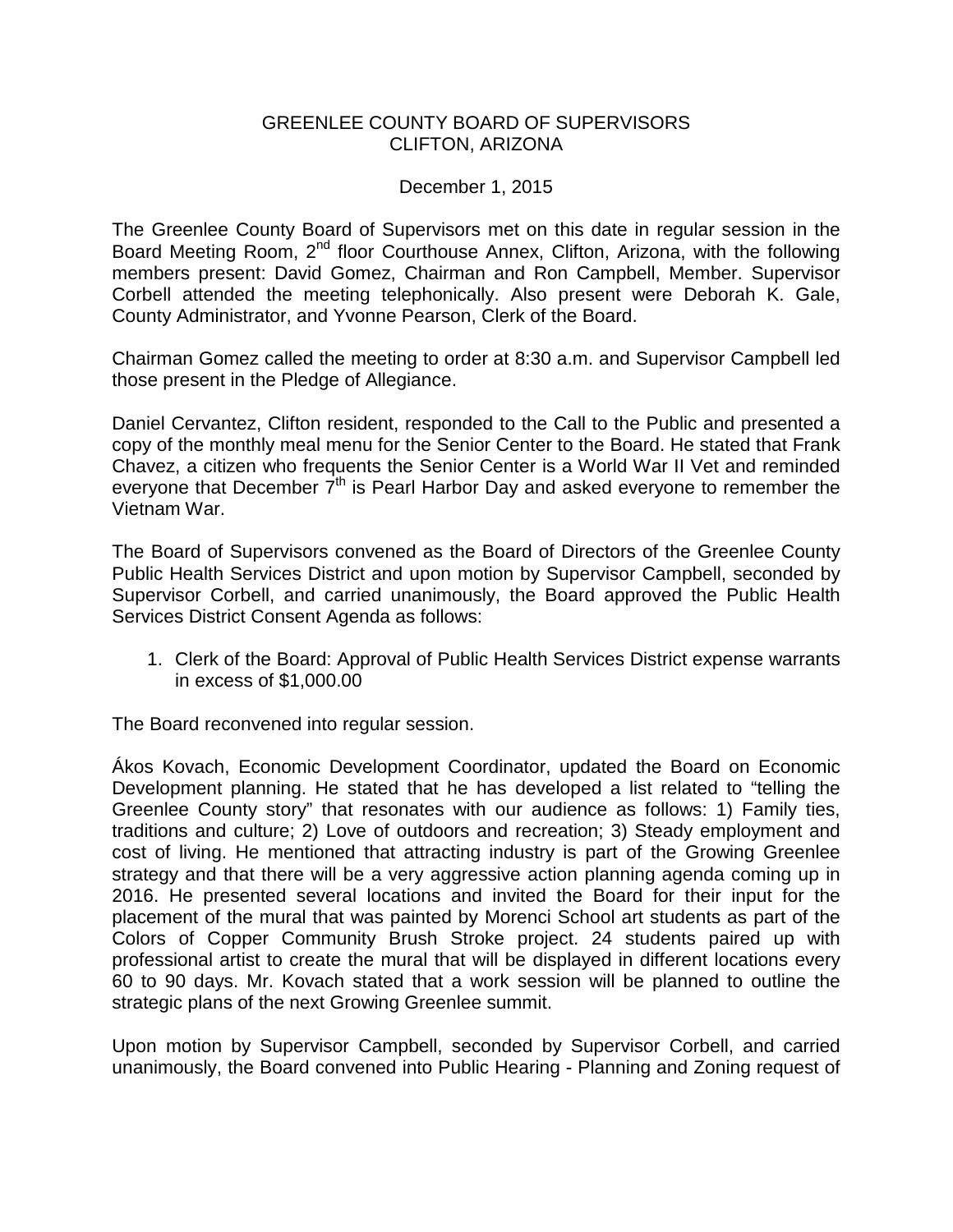## GREENLEE COUNTY BOARD OF SUPERVISORS CLIFTON, ARIZONA

## December 1, 2015

The Greenlee County Board of Supervisors met on this date in regular session in the Board Meeting Room, 2<sup>nd</sup> floor Courthouse Annex, Clifton, Arizona, with the following members present: David Gomez, Chairman and Ron Campbell, Member. Supervisor Corbell attended the meeting telephonically. Also present were Deborah K. Gale, County Administrator, and Yvonne Pearson, Clerk of the Board.

Chairman Gomez called the meeting to order at 8:30 a.m. and Supervisor Campbell led those present in the Pledge of Allegiance.

Daniel Cervantez, Clifton resident, responded to the Call to the Public and presented a copy of the monthly meal menu for the Senior Center to the Board. He stated that Frank Chavez, a citizen who frequents the Senior Center is a World War II Vet and reminded everyone that December  $7<sup>th</sup>$  is Pearl Harbor Day and asked everyone to remember the Vietnam War.

The Board of Supervisors convened as the Board of Directors of the Greenlee County Public Health Services District and upon motion by Supervisor Campbell, seconded by Supervisor Corbell, and carried unanimously, the Board approved the Public Health Services District Consent Agenda as follows:

1. Clerk of the Board: Approval of Public Health Services District expense warrants in excess of \$1,000.00

The Board reconvened into regular session.

Ákos Kovach, Economic Development Coordinator, updated the Board on Economic Development planning. He stated that he has developed a list related to "telling the Greenlee County story" that resonates with our audience as follows: 1) Family ties, traditions and culture; 2) Love of outdoors and recreation; 3) Steady employment and cost of living. He mentioned that attracting industry is part of the Growing Greenlee strategy and that there will be a very aggressive action planning agenda coming up in 2016. He presented several locations and invited the Board for their input for the placement of the mural that was painted by Morenci School art students as part of the Colors of Copper Community Brush Stroke project. 24 students paired up with professional artist to create the mural that will be displayed in different locations every 60 to 90 days. Mr. Kovach stated that a work session will be planned to outline the strategic plans of the next Growing Greenlee summit.

Upon motion by Supervisor Campbell, seconded by Supervisor Corbell, and carried unanimously, the Board convened into Public Hearing - Planning and Zoning request of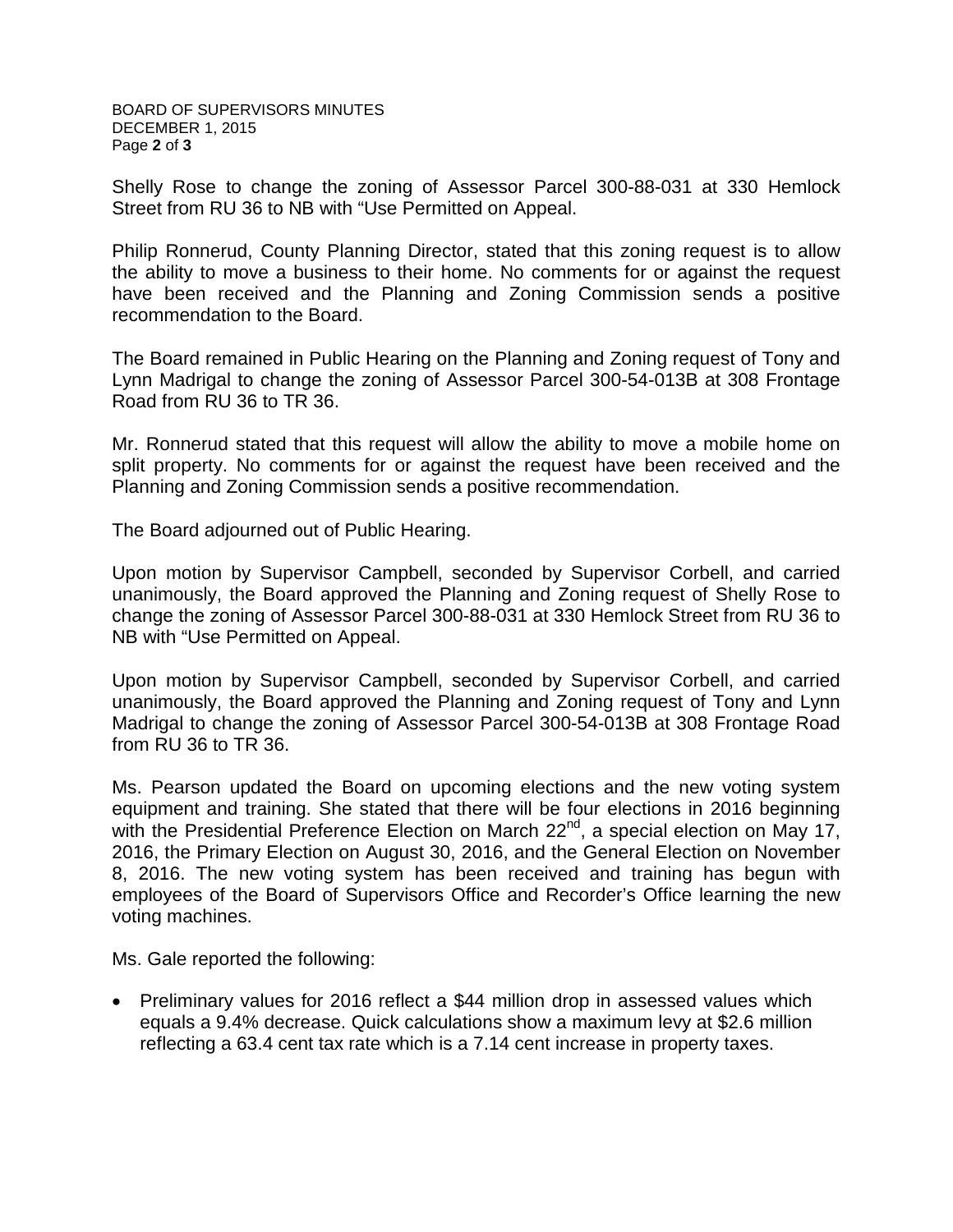BOARD OF SUPERVISORS MINUTES DECEMBER 1, 2015 Page **2** of **3**

Shelly Rose to change the zoning of Assessor Parcel 300-88-031 at 330 Hemlock Street from RU 36 to NB with "Use Permitted on Appeal.

Philip Ronnerud, County Planning Director, stated that this zoning request is to allow the ability to move a business to their home. No comments for or against the request have been received and the Planning and Zoning Commission sends a positive recommendation to the Board.

The Board remained in Public Hearing on the Planning and Zoning request of Tony and Lynn Madrigal to change the zoning of Assessor Parcel 300-54-013B at 308 Frontage Road from RU 36 to TR 36.

Mr. Ronnerud stated that this request will allow the ability to move a mobile home on split property. No comments for or against the request have been received and the Planning and Zoning Commission sends a positive recommendation.

The Board adjourned out of Public Hearing.

Upon motion by Supervisor Campbell, seconded by Supervisor Corbell, and carried unanimously, the Board approved the Planning and Zoning request of Shelly Rose to change the zoning of Assessor Parcel 300-88-031 at 330 Hemlock Street from RU 36 to NB with "Use Permitted on Appeal.

Upon motion by Supervisor Campbell, seconded by Supervisor Corbell, and carried unanimously, the Board approved the Planning and Zoning request of Tony and Lynn Madrigal to change the zoning of Assessor Parcel 300-54-013B at 308 Frontage Road from RU 36 to TR 36.

Ms. Pearson updated the Board on upcoming elections and the new voting system equipment and training. She stated that there will be four elections in 2016 beginning with the Presidential Preference Election on March 22<sup>nd</sup>, a special election on May 17, 2016, the Primary Election on August 30, 2016, and the General Election on November 8, 2016. The new voting system has been received and training has begun with employees of the Board of Supervisors Office and Recorder's Office learning the new voting machines.

Ms. Gale reported the following:

• Preliminary values for 2016 reflect a \$44 million drop in assessed values which equals a 9.4% decrease. Quick calculations show a maximum levy at \$2.6 million reflecting a 63.4 cent tax rate which is a 7.14 cent increase in property taxes.